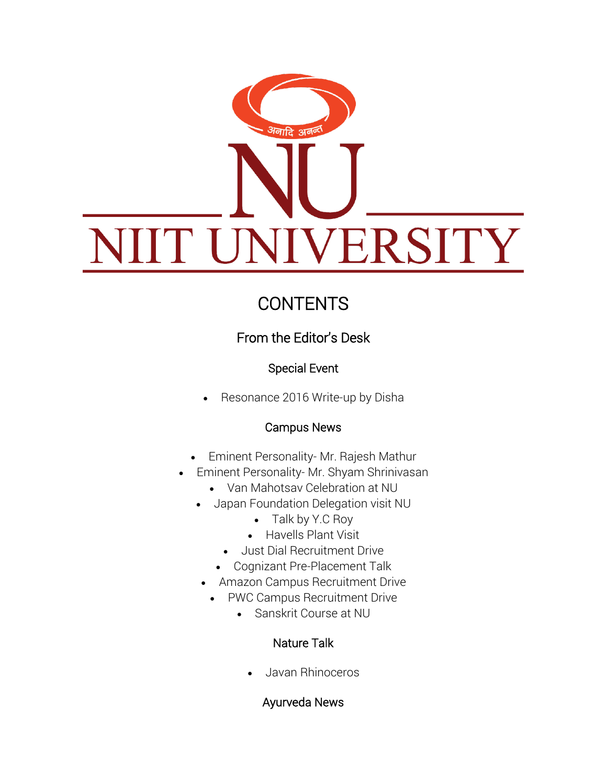# <sup>अ</sup>नादि अ<sup>तल</sup> VERSITY IIN

# **CONTENTS**

# From the Editor's Desk

## Special Event

Resonance 2016 Write-up by Disha

## Campus News

- Eminent Personality- Mr. Rajesh Mathur
- Eminent Personality- Mr. Shyam Shrinivasan
	- Van Mahotsav Celebration at NU
	- Japan Foundation Delegation visit NU
		- Talk by Y.C Roy
		- Havells Plant Visit
		- Just Dial Recruitment Drive
		- Cognizant Pre-Placement Talk
	- Amazon Campus Recruitment Drive
	- PWC Campus Recruitment Drive
		- Sanskrit Course at NU

#### Nature Talk

Javan Rhinoceros

#### Ayurveda News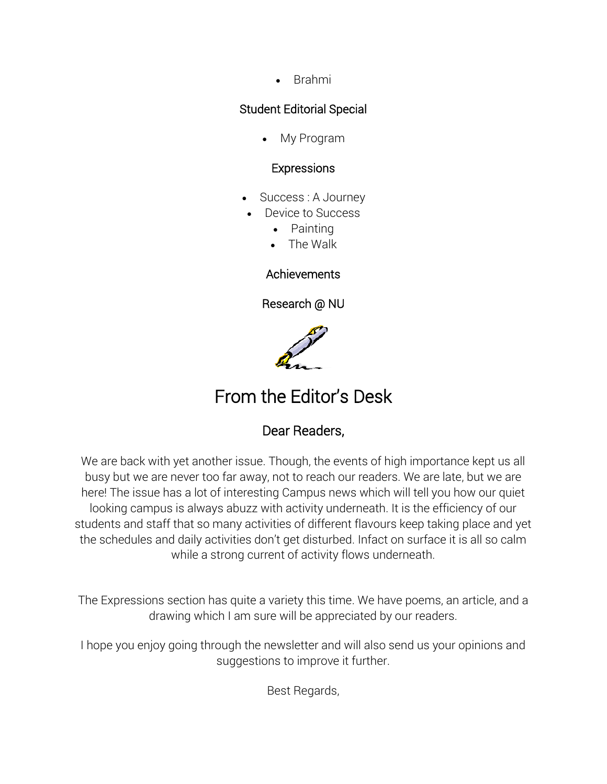• Brahmi

#### Student Editorial Special

My Program

#### Expressions

- Success : A Journey
- Device to Success
	- Painting
	- The Walk

#### Achievements

Research @ NU



# From the Editor's Desk

#### Dear Readers,

We are back with yet another issue. Though, the events of high importance kept us all busy but we are never too far away, not to reach our readers. We are late, but we are here! The issue has a lot of interesting Campus news which will tell you how our quiet looking campus is always abuzz with activity underneath. It is the efficiency of our students and staff that so many activities of different flavours keep taking place and yet the schedules and daily activities don't get disturbed. Infact on surface it is all so calm while a strong current of activity flows underneath.

The Expressions section has quite a variety this time. We have poems, an article, and a drawing which I am sure will be appreciated by our readers.

I hope you enjoy going through the newsletter and will also send us your opinions and suggestions to improve it further.

Best Regards,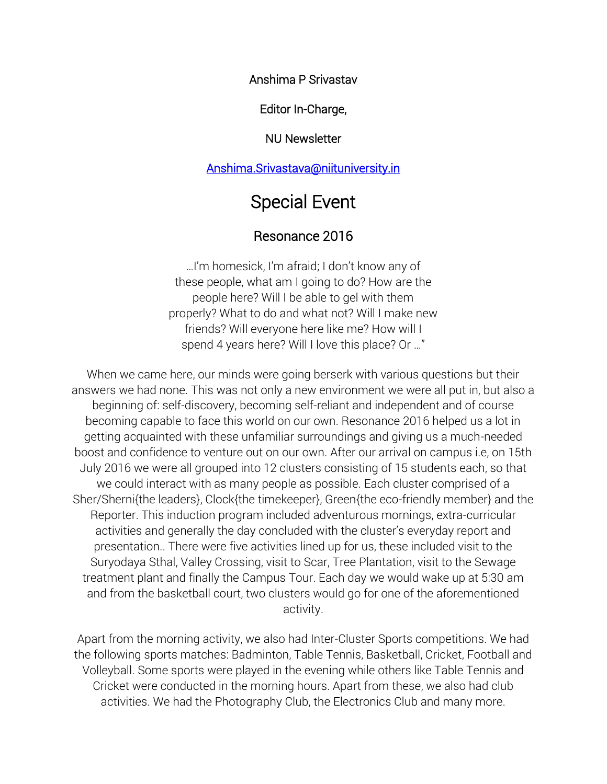Anshima P Srivastav

Editor In-Charge,

#### NU Newsletter

#### [Anshima.Srivastava@niituniversity.in](mailto:anshima.srivastava@niituniversity.in)

# Special Event

#### Resonance 2016

…I'm homesick, I'm afraid; I don't know any of these people, what am I going to do? How are the people here? Will I be able to gel with them properly? What to do and what not? Will I make new friends? Will everyone here like me? How will I spend 4 years here? Will I love this place? Or …"

When we came here, our minds were going berserk with various questions but their answers we had none. This was not only a new environment we were all put in, but also a beginning of: self-discovery, becoming self-reliant and independent and of course becoming capable to face this world on our own. Resonance 2016 helped us a lot in getting acquainted with these unfamiliar surroundings and giving us a much-needed boost and confidence to venture out on our own. After our arrival on campus i.e, on 15th July 2016 we were all grouped into 12 clusters consisting of 15 students each, so that we could interact with as many people as possible. Each cluster comprised of a Sher/Sherni{the leaders}, Clock{the timekeeper}, Green{the eco-friendly member} and the Reporter. This induction program included adventurous mornings, extra-curricular activities and generally the day concluded with the cluster's everyday report and presentation.. There were five activities lined up for us, these included visit to the Suryodaya Sthal, Valley Crossing, visit to Scar, Tree Plantation, visit to the Sewage treatment plant and finally the Campus Tour. Each day we would wake up at 5:30 am and from the basketball court, two clusters would go for one of the aforementioned activity.

Apart from the morning activity, we also had Inter-Cluster Sports competitions. We had the following sports matches: Badminton, Table Tennis, Basketball, Cricket, Football and Volleyball. Some sports were played in the evening while others like Table Tennis and Cricket were conducted in the morning hours. Apart from these, we also had club activities. We had the Photography Club, the Electronics Club and many more.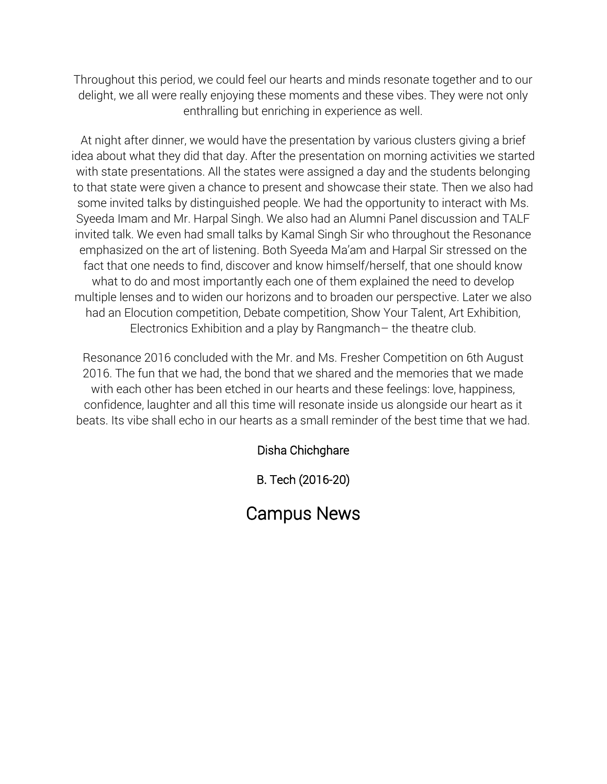Throughout this period, we could feel our hearts and minds resonate together and to our delight, we all were really enjoying these moments and these vibes. They were not only enthralling but enriching in experience as well.

At night after dinner, we would have the presentation by various clusters giving a brief idea about what they did that day. After the presentation on morning activities we started with state presentations. All the states were assigned a day and the students belonging to that state were given a chance to present and showcase their state. Then we also had some invited talks by distinguished people. We had the opportunity to interact with Ms. Syeeda Imam and Mr. Harpal Singh. We also had an Alumni Panel discussion and TALF invited talk. We even had small talks by Kamal Singh Sir who throughout the Resonance emphasized on the art of listening. Both Syeeda Ma'am and Harpal Sir stressed on the fact that one needs to find, discover and know himself/herself, that one should know what to do and most importantly each one of them explained the need to develop multiple lenses and to widen our horizons and to broaden our perspective. Later we also had an Elocution competition, Debate competition, Show Your Talent, Art Exhibition, Electronics Exhibition and a play by Rangmanch– the theatre club.

Resonance 2016 concluded with the Mr. and Ms. Fresher Competition on 6th August 2016. The fun that we had, the bond that we shared and the memories that we made with each other has been etched in our hearts and these feelings: love, happiness, confidence, laughter and all this time will resonate inside us alongside our heart as it beats. Its vibe shall echo in our hearts as a small reminder of the best time that we had.

#### Disha Chichghare

B. Tech (2016-20)

# Campus News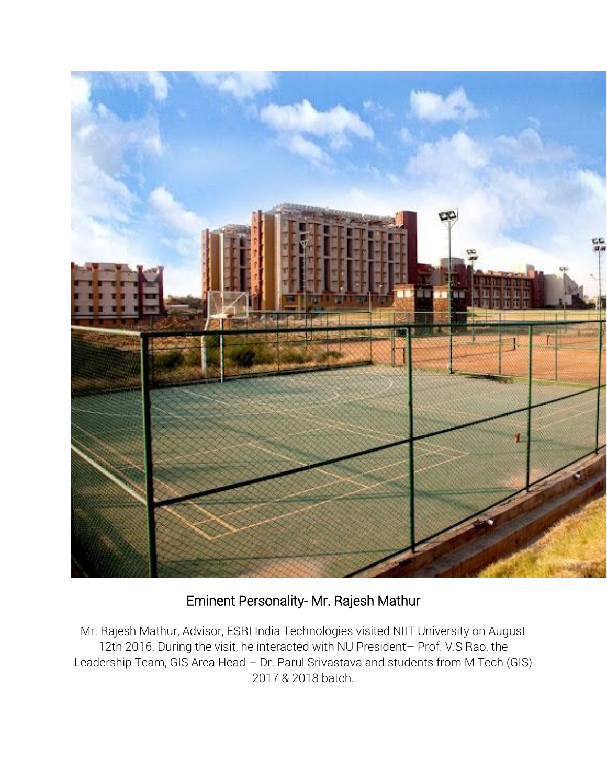

## Eminent Personality- Mr. Rajesh Mathur

Mr. Rajesh Mathur, Advisor, ESRI India Technologies visited NIIT University on August 12th 2016. During the visit, he interacted with NU President– Prof. V.S Rao, the Leadership Team, GIS Area Head – Dr. Parul Srivastava and students from M Tech (GIS) 2017 & 2018 batch.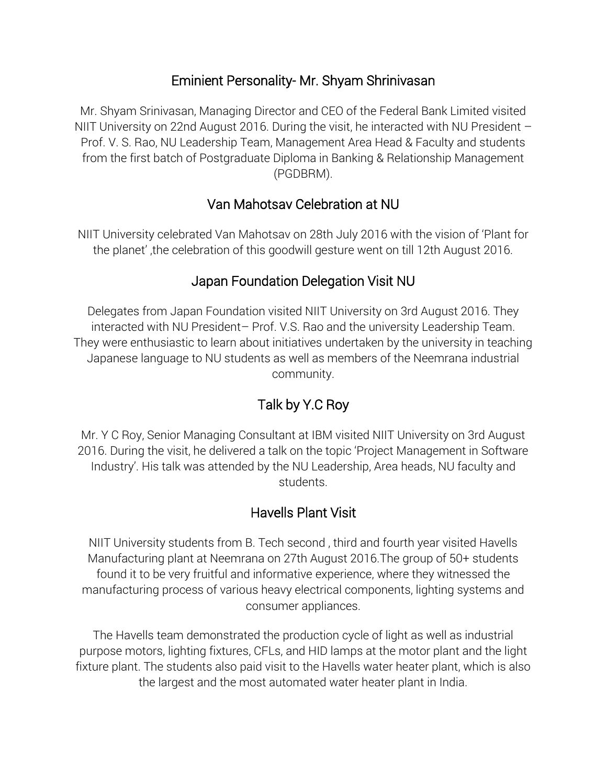### Eminient Personality- Mr. Shyam Shrinivasan

Mr. Shyam Srinivasan, Managing Director and CEO of the Federal Bank Limited visited NIIT University on 22nd August 2016. During the visit, he interacted with NU President – Prof. V. S. Rao, NU Leadership Team, Management Area Head & Faculty and students from the first batch of Postgraduate Diploma in Banking & Relationship Management (PGDBRM).

## Van Mahotsav Celebration at NU

NIIT University celebrated Van Mahotsav on 28th July 2016 with the vision of 'Plant for the planet' ,the celebration of this goodwill gesture went on till 12th August 2016.

## Japan Foundation Delegation Visit NU

Delegates from Japan Foundation visited NIIT University on 3rd August 2016. They interacted with NU President– Prof. V.S. Rao and the university Leadership Team. They were enthusiastic to learn about initiatives undertaken by the university in teaching Japanese language to NU students as well as members of the Neemrana industrial community.

# Talk by Y.C Roy

Mr. Y C Roy, Senior Managing Consultant at IBM visited NIIT University on 3rd August 2016. During the visit, he delivered a talk on the topic 'Project Management in Software Industry'. His talk was attended by the NU Leadership, Area heads, NU faculty and students.

## Havells Plant Visit

NIIT University students from B. Tech second , third and fourth year visited Havells Manufacturing plant at Neemrana on 27th August 2016.The group of 50+ students found it to be very fruitful and informative experience, where they witnessed the manufacturing process of various heavy electrical components, lighting systems and consumer appliances.

The Havells team demonstrated the production cycle of light as well as industrial purpose motors, lighting fixtures, CFLs, and HID lamps at the motor plant and the light fixture plant. The students also paid visit to the Havells water heater plant, which is also the largest and the most automated water heater plant in India.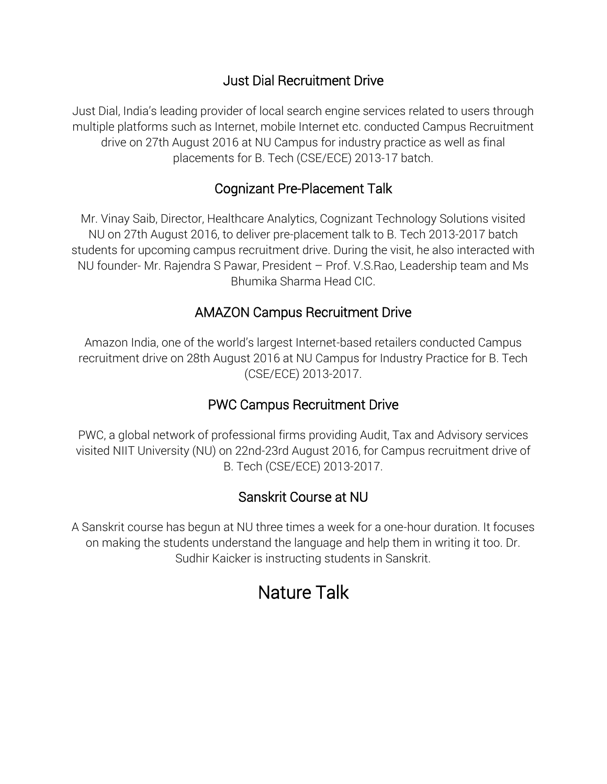### Just Dial Recruitment Drive

Just Dial, India's leading provider of local search engine services related to users through multiple platforms such as Internet, mobile Internet etc. conducted Campus Recruitment drive on 27th August 2016 at NU Campus for industry practice as well as final placements for B. Tech (CSE/ECE) 2013-17 batch.

#### Cognizant Pre-Placement Talk

Mr. Vinay Saib, Director, Healthcare Analytics, Cognizant Technology Solutions visited NU on 27th August 2016, to deliver pre-placement talk to B. Tech 2013-2017 batch students for upcoming campus recruitment drive. During the visit, he also interacted with NU founder- Mr. Rajendra S Pawar, President – Prof. V.S.Rao, Leadership team and Ms Bhumika Sharma Head CIC.

### AMAZON Campus Recruitment Drive

Amazon India, one of the world's largest Internet-based retailers conducted Campus recruitment drive on 28th August 2016 at NU Campus for Industry Practice for B. Tech (CSE/ECE) 2013-2017.

## PWC Campus Recruitment Drive

PWC, a global network of professional firms providing Audit, Tax and Advisory services visited NIIT University (NU) on 22nd-23rd August 2016, for Campus recruitment drive of B. Tech (CSE/ECE) 2013-2017.

#### Sanskrit Course at NU

A Sanskrit course has begun at NU three times a week for a one-hour duration. It focuses on making the students understand the language and help them in writing it too. Dr. Sudhir Kaicker is instructing students in Sanskrit.

# Nature Talk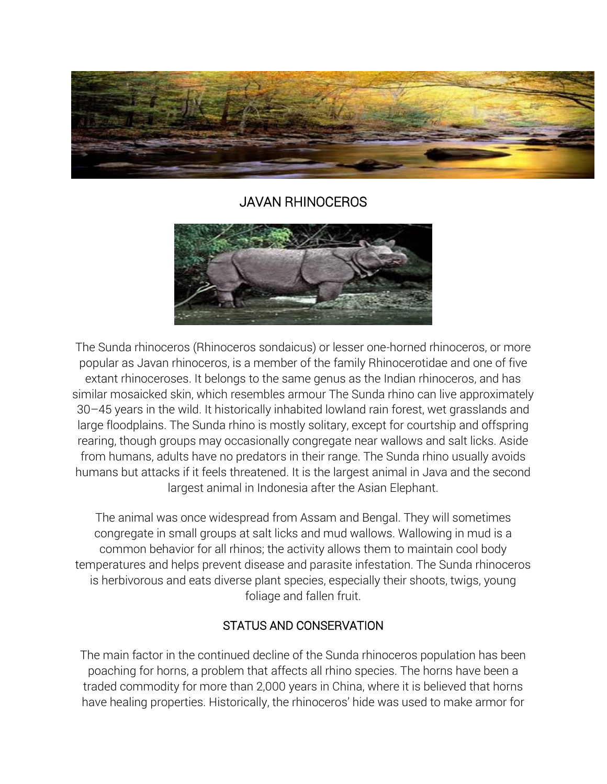

#### JAVAN RHINOCEROS



The Sunda rhinoceros (Rhinoceros sondaicus) or lesser one-horned rhinoceros, or more popular as Javan rhinoceros, is a member of the family Rhinocerotidae and one of five extant rhinoceroses. It belongs to the same genus as the Indian rhinoceros, and has similar mosaicked skin, which resembles armour The Sunda rhino can live approximately 30–45 years in the wild. It historically inhabited lowland rain forest, wet grasslands and large floodplains. The Sunda rhino is mostly solitary, except for courtship and offspring rearing, though groups may occasionally congregate near wallows and salt licks. Aside from humans, adults have no predators in their range. The Sunda rhino usually avoids humans but attacks if it feels threatened. It is the largest animal in Java and the second largest animal in Indonesia after the Asian Elephant.

The animal was once widespread from Assam and Bengal. They will sometimes congregate in small groups at salt licks and mud wallows. Wallowing in mud is a common behavior for all rhinos; the activity allows them to maintain cool body temperatures and helps prevent disease and parasite infestation. The Sunda rhinoceros is herbivorous and eats diverse plant species, especially their shoots, twigs, young foliage and fallen fruit.

#### STATUS AND CONSERVATION

The main factor in the continued decline of the Sunda rhinoceros population has been poaching for horns, a problem that affects all rhino species. The horns have been a traded commodity for more than 2,000 years in China, where it is believed that horns have healing properties. Historically, the rhinoceros' hide was used to make armor for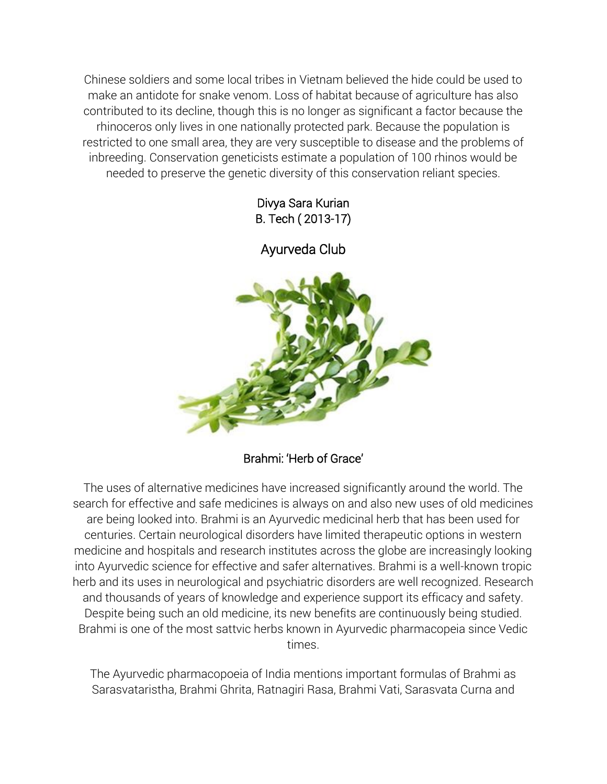Chinese soldiers and some local tribes in Vietnam believed the hide could be used to make an antidote for snake venom. Loss of habitat because of agriculture has also contributed to its decline, though this is no longer as significant a factor because the rhinoceros only lives in one nationally protected park. Because the population is restricted to one small area, they are very susceptible to disease and the problems of inbreeding. Conservation geneticists estimate a population of 100 rhinos would be needed to preserve the genetic diversity of this conservation reliant species.

> Divya Sara Kurian B. Tech ( 2013-17)

Ayurveda Club



Brahmi: 'Herb of Grace'

The uses of alternative medicines have increased significantly around the world. The search for effective and safe medicines is always on and also new uses of old medicines are being looked into. Brahmi is an Ayurvedic medicinal herb that has been used for centuries. Certain neurological disorders have limited therapeutic options in western medicine and hospitals and research institutes across the globe are increasingly looking into Ayurvedic science for effective and safer alternatives. Brahmi is a well-known tropic herb and its uses in neurological and psychiatric disorders are well recognized. Research and thousands of years of knowledge and experience support its efficacy and safety. Despite being such an old medicine, its new benefits are continuously being studied. Brahmi is one of the most sattvic herbs known in Ayurvedic pharmacopeia since Vedic times.

The Ayurvedic pharmacopoeia of India mentions important formulas of Brahmi as Sarasvataristha, Brahmi Ghrita, Ratnagiri Rasa, Brahmi Vati, Sarasvata Curna and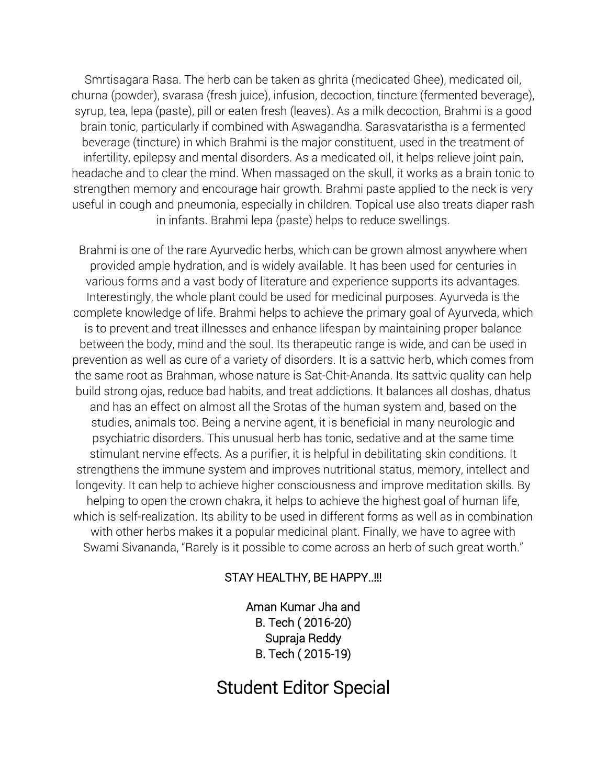Smrtisagara Rasa. The herb can be taken as ghrita (medicated Ghee), medicated oil, churna (powder), svarasa (fresh juice), infusion, decoction, tincture (fermented beverage), syrup, tea, lepa (paste), pill or eaten fresh (leaves). As a milk decoction, Brahmi is a good brain tonic, particularly if combined with Aswagandha. Sarasvataristha is a fermented beverage (tincture) in which Brahmi is the major constituent, used in the treatment of infertility, epilepsy and mental disorders. As a medicated oil, it helps relieve joint pain, headache and to clear the mind. When massaged on the skull, it works as a brain tonic to strengthen memory and encourage hair growth. Brahmi paste applied to the neck is very useful in cough and pneumonia, especially in children. Topical use also treats diaper rash in infants. Brahmi lepa (paste) helps to reduce swellings.

Brahmi is one of the rare Ayurvedic herbs, which can be grown almost anywhere when provided ample hydration, and is widely available. It has been used for centuries in various forms and a vast body of literature and experience supports its advantages. Interestingly, the whole plant could be used for medicinal purposes. Ayurveda is the complete knowledge of life. Brahmi helps to achieve the primary goal of Ayurveda, which is to prevent and treat illnesses and enhance lifespan by maintaining proper balance between the body, mind and the soul. Its therapeutic range is wide, and can be used in prevention as well as cure of a variety of disorders. It is a sattvic herb, which comes from the same root as Brahman, whose nature is Sat-Chit-Ananda. Its sattvic quality can help build strong ojas, reduce bad habits, and treat addictions. It balances all doshas, dhatus and has an effect on almost all the Srotas of the human system and, based on the studies, animals too. Being a nervine agent, it is beneficial in many neurologic and psychiatric disorders. This unusual herb has tonic, sedative and at the same time stimulant nervine effects. As a purifier, it is helpful in debilitating skin conditions. It strengthens the immune system and improves nutritional status, memory, intellect and longevity. It can help to achieve higher consciousness and improve meditation skills. By helping to open the crown chakra, it helps to achieve the highest goal of human life, which is self-realization. Its ability to be used in different forms as well as in combination with other herbs makes it a popular medicinal plant. Finally, we have to agree with Swami Sivananda, "Rarely is it possible to come across an herb of such great worth."

#### STAY HEALTHY, BE HAPPY..!!!

Aman Kumar Jha and B. Tech ( 2016-20) Supraja Reddy B. Tech ( 2015-19)

## Student Editor Special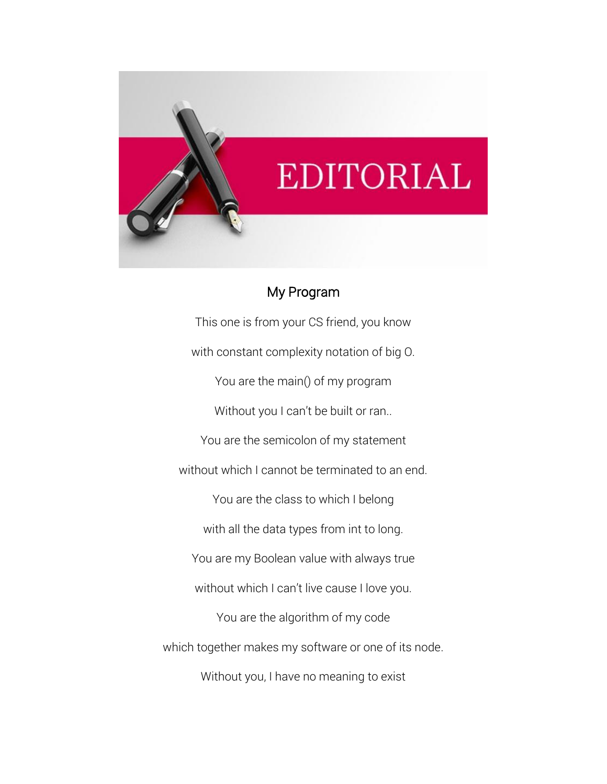

#### My Program

This one is from your CS friend, you know with constant complexity notation of big O. You are the main() of my program Without you I can't be built or ran.. You are the semicolon of my statement without which I cannot be terminated to an end. You are the class to which I belong with all the data types from int to long. You are my Boolean value with always true without which I can't live cause I love you. You are the algorithm of my code which together makes my software or one of its node. Without you, I have no meaning to exist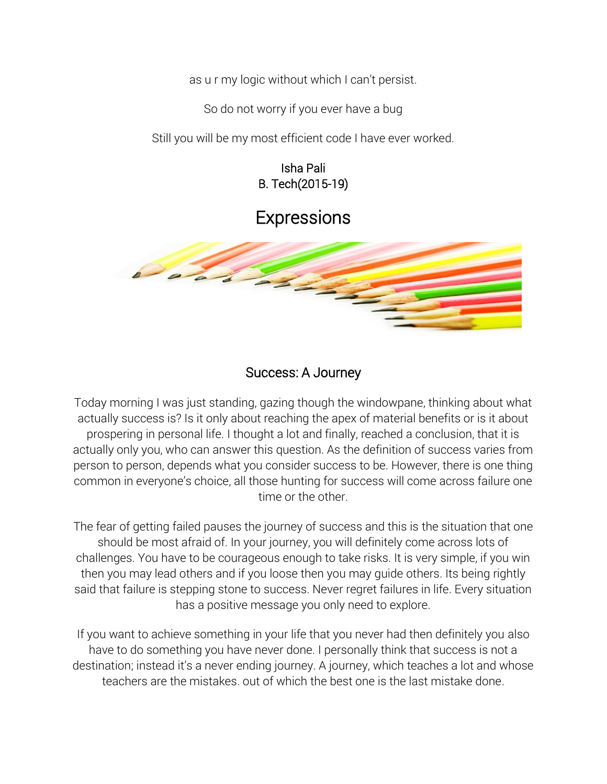as u r my logic without which I can't persist.

So do not worry if you ever have a bug

Still you will be my most efficient code I have ever worked.

Isha Pali B. Tech(2015-19)

# **Expressions**



#### Success: A Journey

Today morning I was just standing, gazing though the windowpane, thinking about what actually success is? Is it only about reaching the apex of material benefits or is it about prospering in personal life. I thought a lot and finally, reached a conclusion, that it is actually only you, who can answer this question. As the definition of success varies from person to person, depends what you consider success to be. However, there is one thing common in everyone's choice, all those hunting for success will come across failure one time or the other.

The fear of getting failed pauses the journey of success and this is the situation that one should be most afraid of. In your journey, you will definitely come across lots of challenges. You have to be courageous enough to take risks. It is very simple, if you win then you may lead others and if you loose then you may guide others. Its being rightly said that failure is stepping stone to success. Never regret failures in life. Every situation has a positive message you only need to explore.

If you want to achieve something in your life that you never had then definitely you also have to do something you have never done. I personally think that success is not a destination; instead it's a never ending journey. A journey, which teaches a lot and whose teachers are the mistakes. out of which the best one is the last mistake done.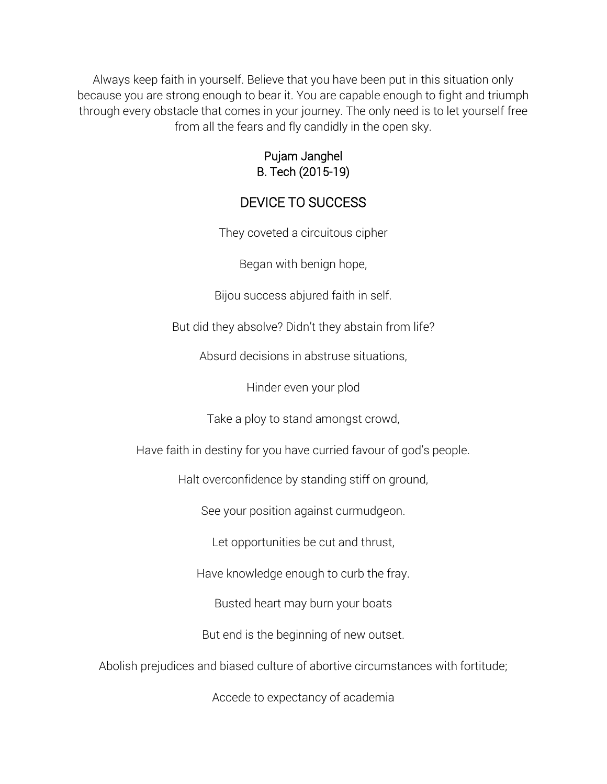Always keep faith in yourself. Believe that you have been put in this situation only because you are strong enough to bear it. You are capable enough to fight and triumph through every obstacle that comes in your journey. The only need is to let yourself free from all the fears and fly candidly in the open sky.

#### Pujam Janghel B. Tech (2015-19)

### DEVICE TO SUCCESS

They coveted a circuitous cipher

Began with benign hope,

Bijou success abjured faith in self.

But did they absolve? Didn't they abstain from life?

Absurd decisions in abstruse situations,

Hinder even your plod

Take a ploy to stand amongst crowd,

Have faith in destiny for you have curried favour of god's people.

Halt overconfidence by standing stiff on ground,

See your position against curmudgeon.

Let opportunities be cut and thrust,

Have knowledge enough to curb the fray.

Busted heart may burn your boats

But end is the beginning of new outset.

Abolish prejudices and biased culture of abortive circumstances with fortitude;

Accede to expectancy of academia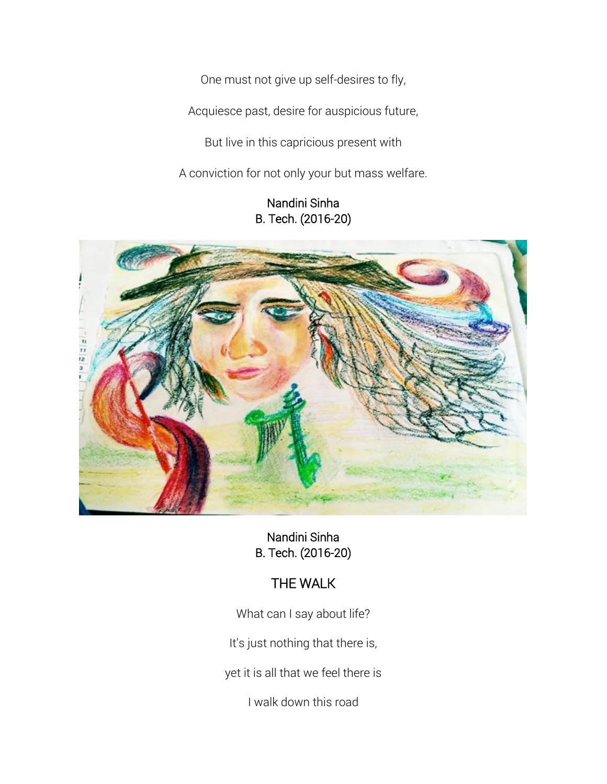One must not give up self-desires to fly,

Acquiesce past, desire for auspicious future,

But live in this capricious present with

A conviction for not only your but mass welfare.

#### Nandini Sinha B. Tech. (2016-20)



Nandini Sinha B. Tech. (2016-20)

# THE WALK

What can I say about life?

It's just nothing that there is,

yet it is all that we feel there is

I walk down this road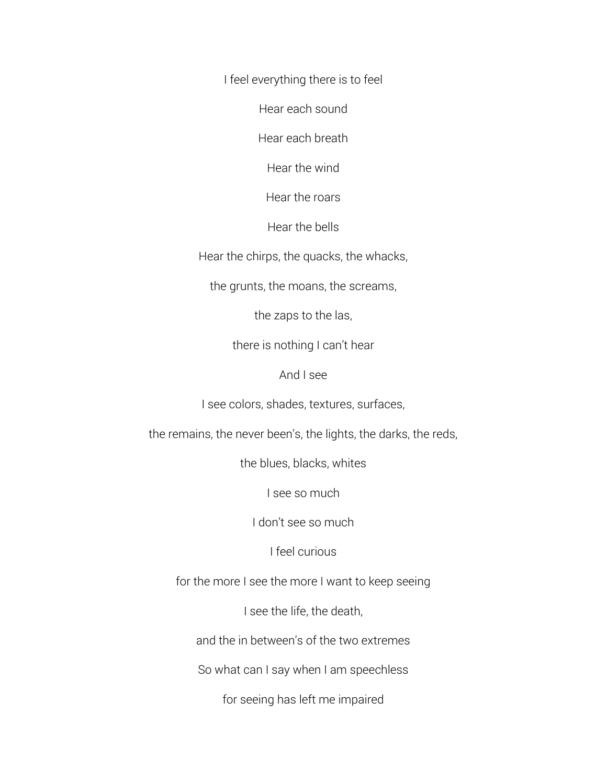I feel everything there is to feel

Hear each sound

Hear each breath

Hear the wind

Hear the roars

Hear the bells

Hear the chirps, the quacks, the whacks,

the grunts, the moans, the screams,

the zaps to the las,

there is nothing I can't hear

And I see

I see colors, shades, textures, surfaces,

the remains, the never been's, the lights, the darks, the reds,

the blues, blacks, whites

I see so much

I don't see so much

I feel curious

for the more I see the more I want to keep seeing

I see the life, the death,

and the in between's of the two extremes

So what can I say when I am speechless

for seeing has left me impaired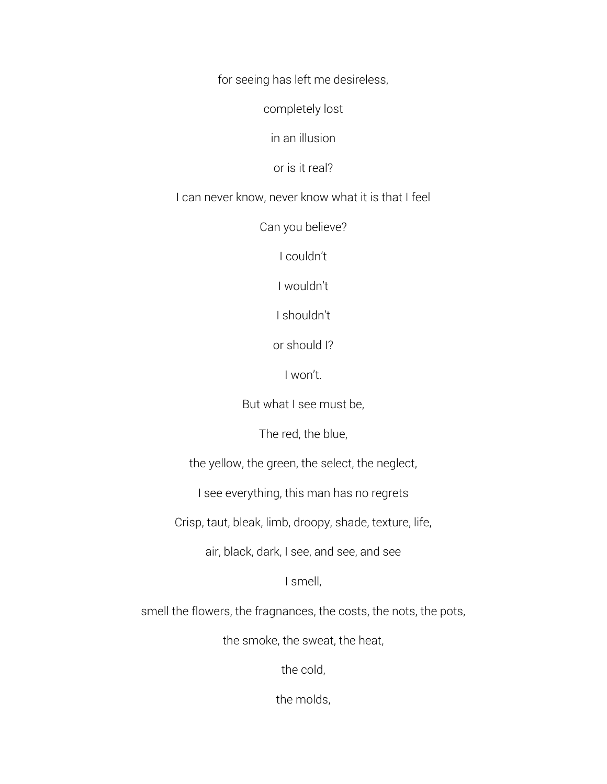for seeing has left me desireless,

completely lost

in an illusion

or is it real?

I can never know, never know what it is that I feel

Can you believe?

I couldn't

I wouldn't

I shouldn't

or should I?

I won't.

But what I see must be,

The red, the blue,

the yellow, the green, the select, the neglect,

I see everything, this man has no regrets

Crisp, taut, bleak, limb, droopy, shade, texture, life,

air, black, dark, I see, and see, and see

I smell,

smell the flowers, the fragnances, the costs, the nots, the pots,

the smoke, the sweat, the heat,

the cold,

the molds,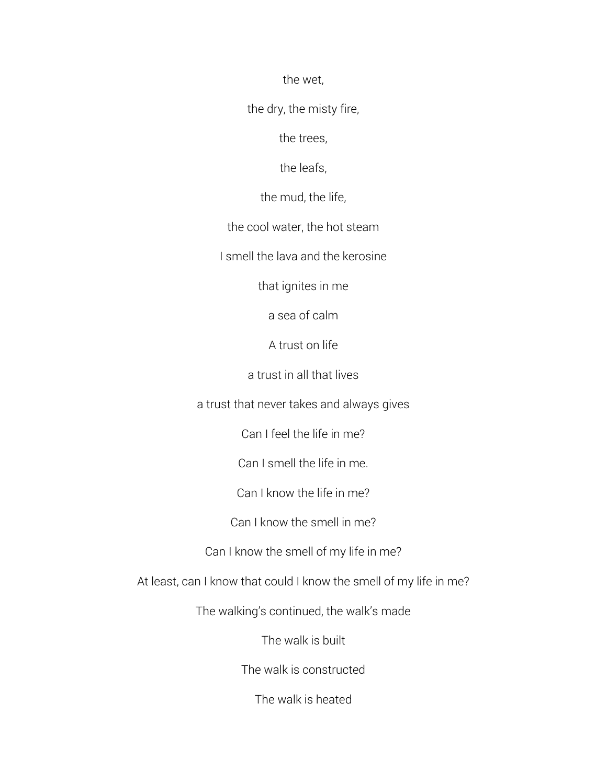the wet,

the dry, the misty fire,

the trees,

the leafs,

the mud, the life,

the cool water, the hot steam

I smell the lava and the kerosine

that ignites in me

a sea of calm

A trust on life

a trust in all that lives

a trust that never takes and always gives

Can I feel the life in me?

Can I smell the life in me.

Can I know the life in me?

Can I know the smell in me?

Can I know the smell of my life in me?

At least, can I know that could I know the smell of my life in me?

The walking's continued, the walk's made

The walk is built

The walk is constructed

The walk is heated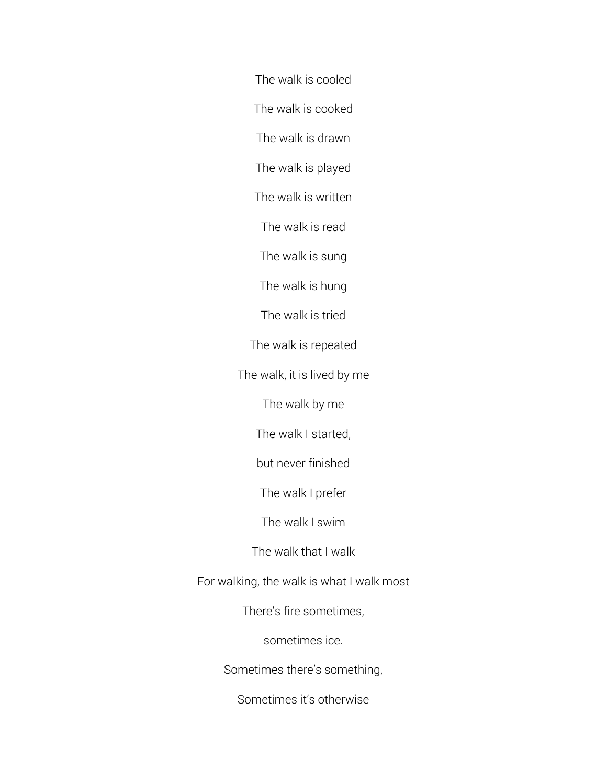The walk is cooled

The walk is cooked

The walk is drawn

The walk is played

The walk is written

The walk is read

The walk is sung

The walk is hung

The walk is tried

The walk is repeated

The walk, it is lived by me

The walk by me

The walk I started,

but never finished

The walk I prefer

The walk I swim

The walk that I walk

For walking, the walk is what I walk most

There's fire sometimes,

sometimes ice.

Sometimes there's something,

Sometimes it's otherwise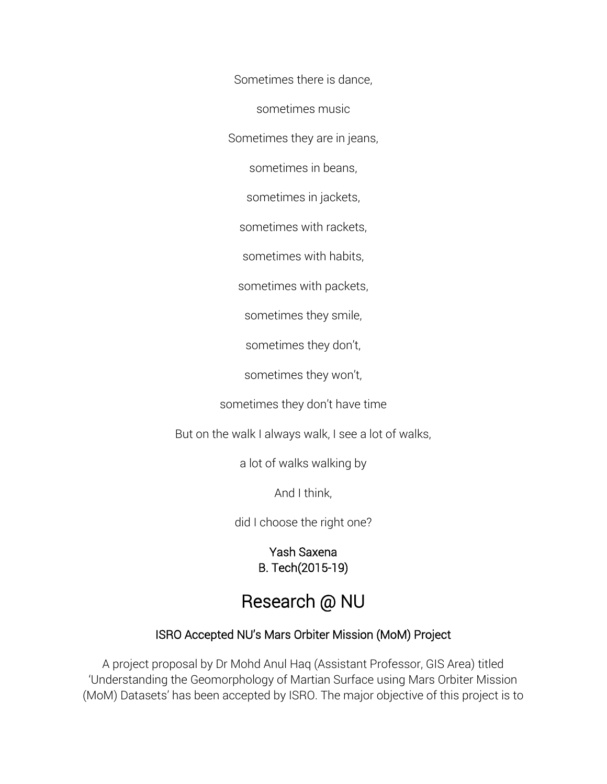Sometimes there is dance,

sometimes music

Sometimes they are in jeans,

sometimes in beans,

sometimes in jackets,

sometimes with rackets,

sometimes with habits,

sometimes with packets,

sometimes they smile,

sometimes they don't,

sometimes they won't,

sometimes they don't have time

But on the walk I always walk, I see a lot of walks,

a lot of walks walking by

And I think,

did I choose the right one?

Yash Saxena B. Tech(2015-19)

# Research @ NU

#### ISRO Accepted NU's Mars Orbiter Mission (MoM) Project

A project proposal by Dr Mohd Anul Haq (Assistant Professor, GIS Area) titled 'Understanding the Geomorphology of Martian Surface using Mars Orbiter Mission (MoM) Datasets' has been accepted by ISRO. The major objective of this project is to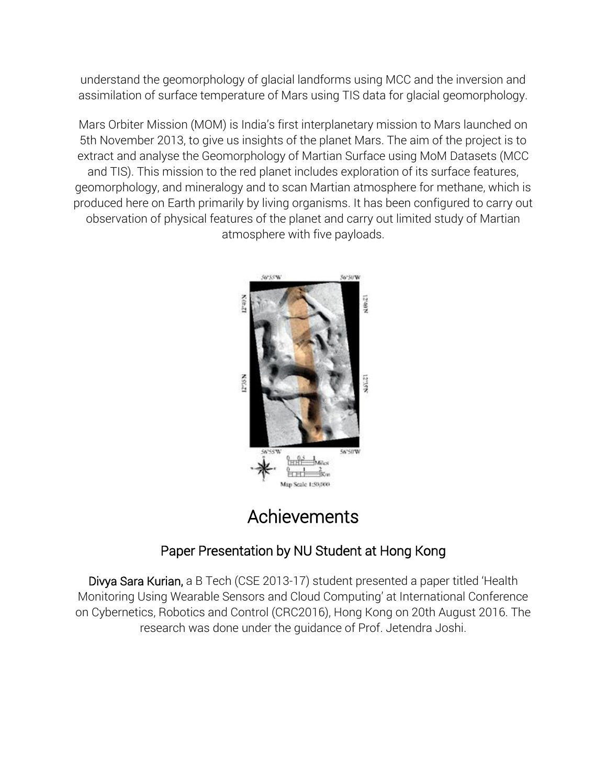understand the geomorphology of glacial landforms using MCC and the inversion and assimilation of surface temperature of Mars using TIS data for glacial geomorphology.

Mars Orbiter Mission (MOM) is India's first interplanetary mission to Mars launched on 5th November 2013, to give us insights of the planet Mars. The aim of the project is to extract and analyse the Geomorphology of Martian Surface using MoM Datasets (MCC and TIS). This mission to the red planet includes exploration of its surface features, geomorphology, and mineralogy and to scan Martian atmosphere for methane, which is produced here on Earth primarily by living organisms. It has been configured to carry out observation of physical features of the planet and carry out limited study of Martian atmosphere with five payloads.



# Achievements

# Paper Presentation by NU Student at Hong Kong

Divya Sara Kurian, a B Tech (CSE 2013-17) student presented a paper titled 'Health Monitoring Using Wearable Sensors and Cloud Computing' at International Conference on Cybernetics, Robotics and Control (CRC2016), Hong Kong on 20th August 2016. The research was done under the guidance of Prof. Jetendra Joshi.